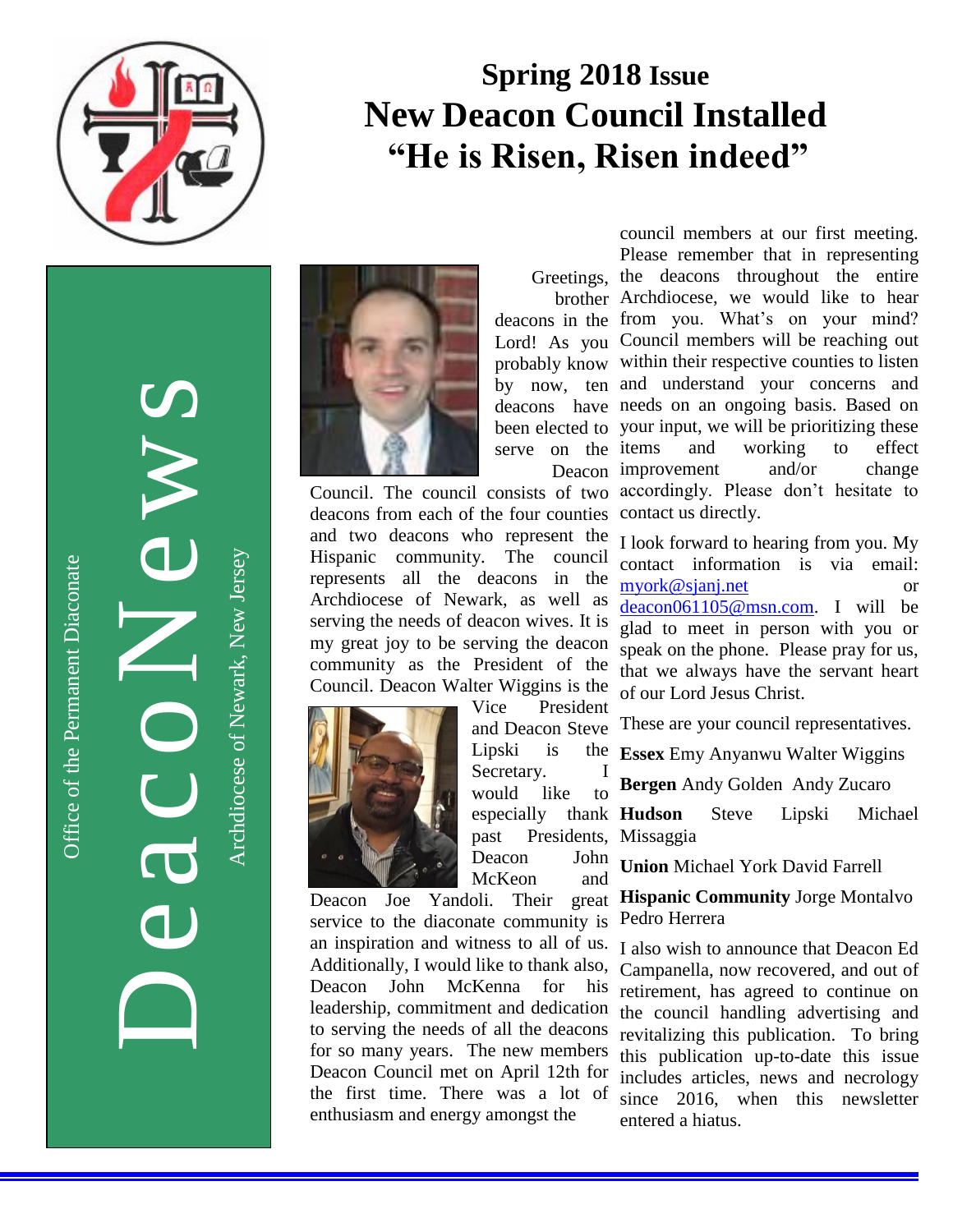

# **Spring 2018 Issue New Deacon Council Installed " "He is Risen, Risen indeed"**

Office of the Permanent Diaconate Office of the Permanent Diaconate

DeacoNews News Archdiocese of Newark, New JerseyArchdiocese of Newark, New Jersey



deacons from each of the four counties contact us directly. and two deacons who represent the Hispanic community. The council represents all the deacons in the Archdiocese of Newark, as well as serving the needs of deacon wives. It is my great joy to be serving the deacon community as the President of the Council. Deacon Walter Wiggins is the



Vice President and Deacon Steve Lipski is Secretary. I would like to past Presidents, Missaggia Deacon John McKeon and

Deacon Joe Yandoli. Their great service to the diaconate community is an inspiration and witness to all of us. Additionally, I would like to thank also, Deacon John McKenna for his leadership, commitment and dedication to serving the needs of all the deacons for so many years. The new members Deacon Council met on April 12th for the first time. There was a lot of enthusiasm and energy amongst the

council members at our first meeting. Please remember that in representing

Greetings, the deacons throughout the entire brother Archdiocese, we would like to hear deacons in the from you. What's on your mind? Lord! As you Council members will be reaching out probably know within their respective counties to listen by now, ten and understand your concerns and deacons have needs on an ongoing basis. Based on been elected to your input, we will be prioritizing these serve on the items Deacon improvement and/or change Council. The council consists of two accordingly. Please don't hesitate to and working to effect

> I look forward to hearing from you. My contact information is via email: [myork@sjanj.net](mailto:myork@sjanj.net) or [deacon061105@msn.com.](mailto:deacon061105@msn.com) I will be glad to meet in person with you or speak on the phone. Please pray for us, that we always have the servant heart of our Lord Jesus Christ.

These are your council representatives.

**Essex** Emy Anyanwu Walter Wiggins

**Bergen** Andy Golden Andy Zucaro

especially thank **Hudson** Steve Lipski Michael

**Union** Michael York David Farrell

### **Hispanic Community** Jorge Montalvo Pedro Herrera

I also wish to announce that Deacon Ed Campanella, now recovered, and out of retirement, has agreed to continue on the council handling advertising and revitalizing this publication. To bring this publication up-to-date this issue includes articles, news and necrology since 2016, when this newsletter entered a hiatus.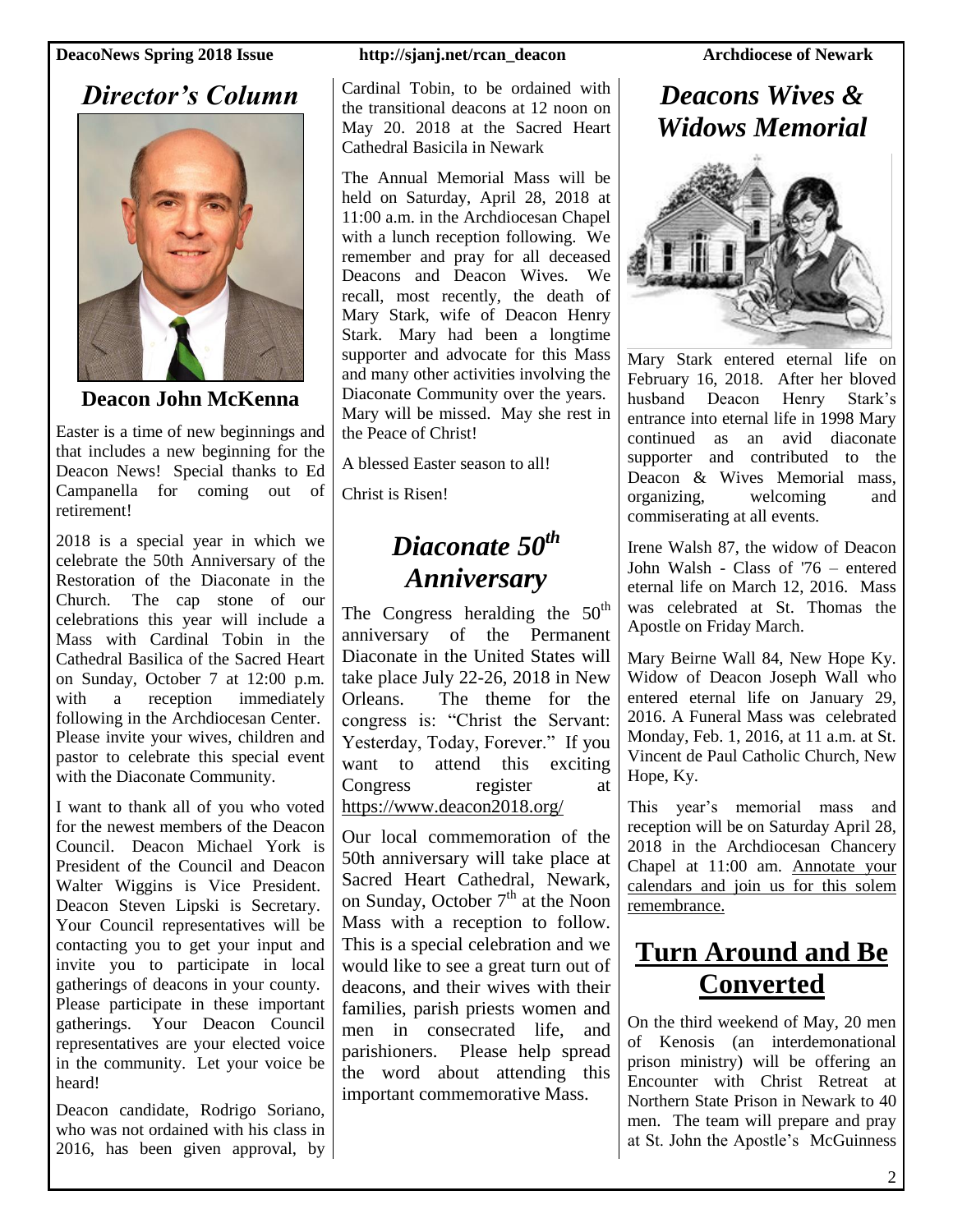### *Director's Column*



**Deacon John McKenna**

Easter is a time of new beginnings and that includes a new beginning for the Deacon News! Special thanks to Ed Campanella for coming out of retirement!

2018 is a special year in which we celebrate the 50th Anniversary of the Restoration of the Diaconate in the Church. The cap stone of our celebrations this year will include a Mass with Cardinal Tobin in the Cathedral Basilica of the Sacred Heart on Sunday, October 7 at 12:00 p.m. with a reception immediately following in the Archdiocesan Center. Please invite your wives, children and pastor to celebrate this special event with the Diaconate Community.

I want to thank all of you who voted for the newest members of the Deacon Council. Deacon Michael York is President of the Council and Deacon Walter Wiggins is Vice President. Deacon Steven Lipski is Secretary. Your Council representatives will be contacting you to get your input and invite you to participate in local gatherings of deacons in your county. Please participate in these important gatherings. Your Deacon Council representatives are your elected voice in the community. Let your voice be heard!

Deacon candidate, Rodrigo Soriano, who was not ordained with his class in 2016, has been given approval, by

Cardinal Tobin, to be ordained with the transitional deacons at 12 noon on May 20. 2018 at the Sacred Heart Cathedral Basicila in Newark

The Annual Memorial Mass will be held on Saturday, April 28, 2018 at 11:00 a.m. in the Archdiocesan Chapel with a lunch reception following. We remember and pray for all deceased Deacons and Deacon Wives. We recall, most recently, the death of Mary Stark, wife of Deacon Henry Stark. Mary had been a longtime supporter and advocate for this Mass and many other activities involving the Diaconate Community over the years. Mary will be missed. May she rest in the Peace of Christ!

A blessed Easter season to all!

Christ is Risen!

## *Diaconate 50th Anniversary*

The Congress heralding the  $50<sup>th</sup>$ anniversary of the Permanent Diaconate in the United States will take place July 22-26, 2018 in New Orleans. The theme for the congress is: "Christ the Servant: Yesterday, Today, Forever." If you want to attend this exciting Congress register at https://www.deacon2018.org/

Our local commemoration of the 50th anniversary will take place at Sacred Heart Cathedral, Newark, on Sunday, October  $7<sup>th</sup>$  at the Noon Mass with a reception to follow. This is a special celebration and we would like to see a great turn out of deacons, and their wives with their families, parish priests women and men in consecrated life, and parishioners. Please help spread the word about attending this important commemorative Mass.

### *Deacons Wives & Widows Memorial*



Mary Stark entered eternal life on February 16, 2018. After her bloved husband Deacon Henry Stark's entrance into eternal life in 1998 Mary continued as an avid diaconate supporter and contributed to the Deacon & Wives Memorial mass, organizing, welcoming and commiserating at all events.

Irene Walsh 87, the widow of Deacon John Walsh - Class of '76 – entered eternal life on March 12, 2016. Mass was celebrated at St. Thomas the Apostle on Friday March.

Mary Beirne Wall 84, New Hope Ky. Widow of Deacon Joseph Wall who entered eternal life on January 29, 2016. A Funeral Mass was celebrated Monday, Feb. 1, 2016, at 11 a.m. at St. Vincent de Paul Catholic Church, New Hope, Ky.

This year's memorial mass and reception will be on Saturday April 28, 2018 in the Archdiocesan Chancery Chapel at 11:00 am. Annotate your calendars and join us for this solem remembrance.

## **Turn Around and Be Converted**

On the third weekend of May, 20 men of Kenosis (an interdemonational prison ministry) will be offering an Encounter with Christ Retreat at Northern State Prison in Newark to 40 men. The team will prepare and pray at St. John the Apostle's McGuinness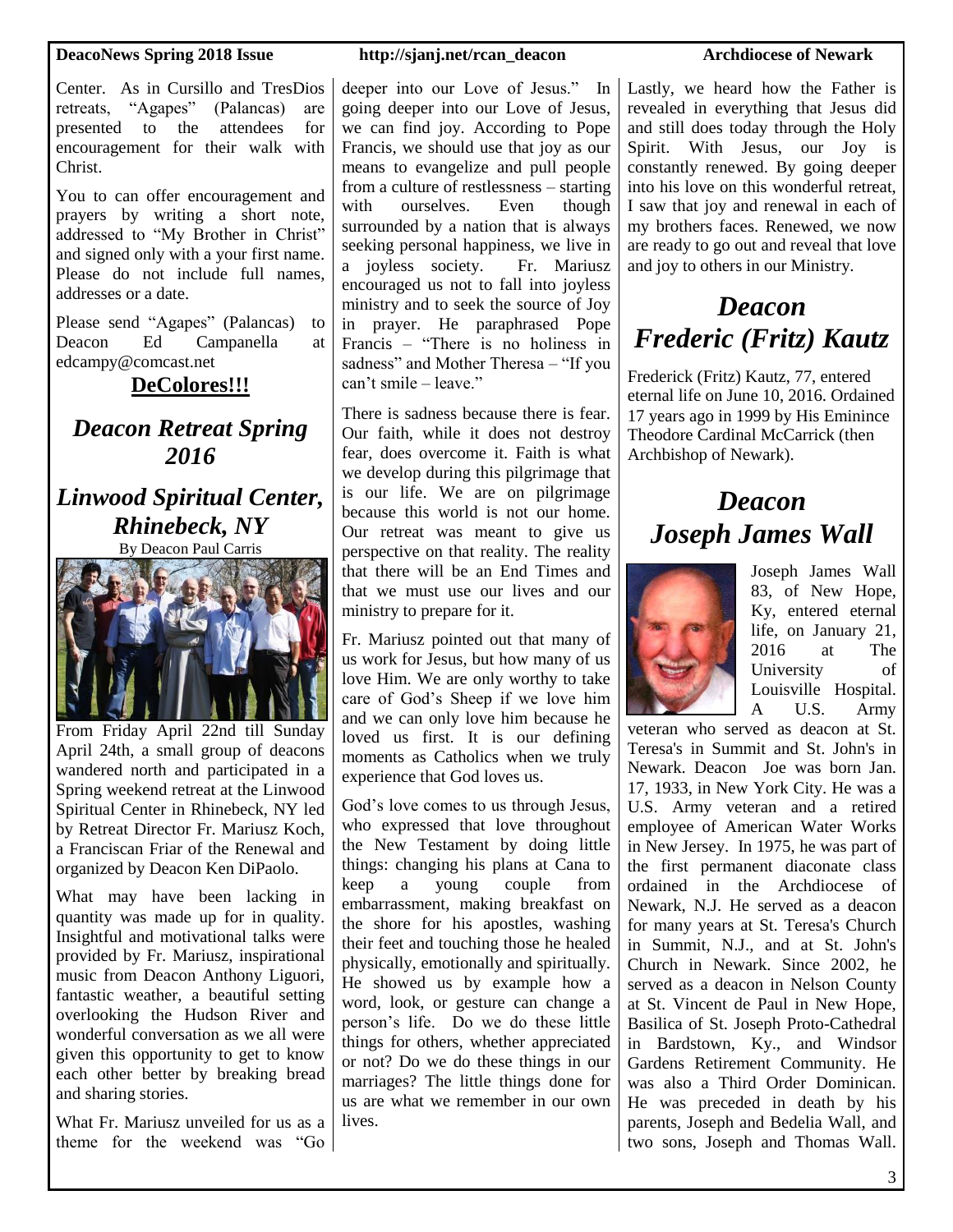Center. As in Cursillo and TresDios retreats, "Agapes" (Palancas) are presented to the attendees for encouragement for their walk with Christ.

You to can offer encouragement and prayers by writing a short note, addressed to "My Brother in Christ" and signed only with a your first name. Please do not include full names, addresses or a date.

Please send "Agapes" (Palancas) to Deacon Ed Campanella at edcampy@comcast.net

### **DeColores!!!**

### *Deacon Retreat Spring 2016*

### *Linwood Spiritual Center, Rhinebeck, NY*

By Deacon Paul Carris



From Friday April 22nd till Sunday April 24th, a small group of deacons wandered north and participated in a Spring weekend retreat at the Linwood Spiritual Center in Rhinebeck, NY led by Retreat Director Fr. Mariusz Koch, a Franciscan Friar of the Renewal and organized by Deacon Ken DiPaolo.

What may have been lacking in quantity was made up for in quality. Insightful and motivational talks were provided by Fr. Mariusz, inspirational music from Deacon Anthony Liguori, fantastic weather, a beautiful setting overlooking the Hudson River and wonderful conversation as we all were given this opportunity to get to know each other better by breaking bread and sharing stories.

What Fr. Mariusz unveiled for us as a theme for the weekend was "Go

deeper into our Love of Jesus." In going deeper into our Love of Jesus, we can find joy. According to Pope Francis, we should use that joy as our means to evangelize and pull people from a culture of restlessness – starting with ourselves. Even though surrounded by a nation that is always seeking personal happiness, we live in a joyless society. Fr. Mariusz encouraged us not to fall into joyless ministry and to seek the source of Joy in prayer. He paraphrased Pope Francis – "There is no holiness in sadness" and Mother Theresa – "If you can't smile – leave."

There is sadness because there is fear. Our faith, while it does not destroy fear, does overcome it. Faith is what we develop during this pilgrimage that is our life. We are on pilgrimage because this world is not our home. Our retreat was meant to give us perspective on that reality. The reality that there will be an End Times and that we must use our lives and our ministry to prepare for it.

Fr. Mariusz pointed out that many of us work for Jesus, but how many of us love Him. We are only worthy to take care of God's Sheep if we love him and we can only love him because he loved us first. It is our defining moments as Catholics when we truly experience that God loves us.

God's love comes to us through Jesus, who expressed that love throughout the New Testament by doing little things: changing his plans at Cana to keep a young couple from embarrassment, making breakfast on the shore for his apostles, washing their feet and touching those he healed physically, emotionally and spiritually. He showed us by example how a word, look, or gesture can change a person's life. Do we do these little things for others, whether appreciated or not? Do we do these things in our marriages? The little things done for us are what we remember in our own lives.

Lastly, we heard how the Father is revealed in everything that Jesus did and still does today through the Holy Spirit. With Jesus, our Joy is constantly renewed. By going deeper into his love on this wonderful retreat, I saw that joy and renewal in each of my brothers faces. Renewed, we now are ready to go out and reveal that love and joy to others in our Ministry.

# *Deacon Frederic (Fritz) Kautz*

Frederick (Fritz) Kautz, 77, entered eternal life on June 10, 2016. Ordained 17 years ago in 1999 by His Eminince Theodore Cardinal McCarrick (then Archbishop of Newark).

## *Deacon Joseph James Wall*



Joseph James Wall 83, of New Hope, Ky, entered eternal life, on January 21, 2016 at The University of Louisville Hospital. A U.S. Army

veteran who served as deacon at St. Teresa's in Summit and St. John's in Newark. Deacon Joe was born Jan. 17, 1933, in New York City. He was a U.S. Army veteran and a retired employee of American Water Works in New Jersey. In 1975, he was part of the first permanent diaconate class ordained in the Archdiocese of Newark, N.J. He served as a deacon for many years at St. Teresa's Church in Summit, N.J., and at St. John's Church in Newark. Since 2002, he served as a deacon in Nelson County at St. Vincent de Paul in New Hope, Basilica of St. Joseph Proto-Cathedral in Bardstown, Ky., and Windsor Gardens Retirement Community. He was also a Third Order Dominican. He was preceded in death by his parents, Joseph and Bedelia Wall, and two sons, Joseph and Thomas Wall.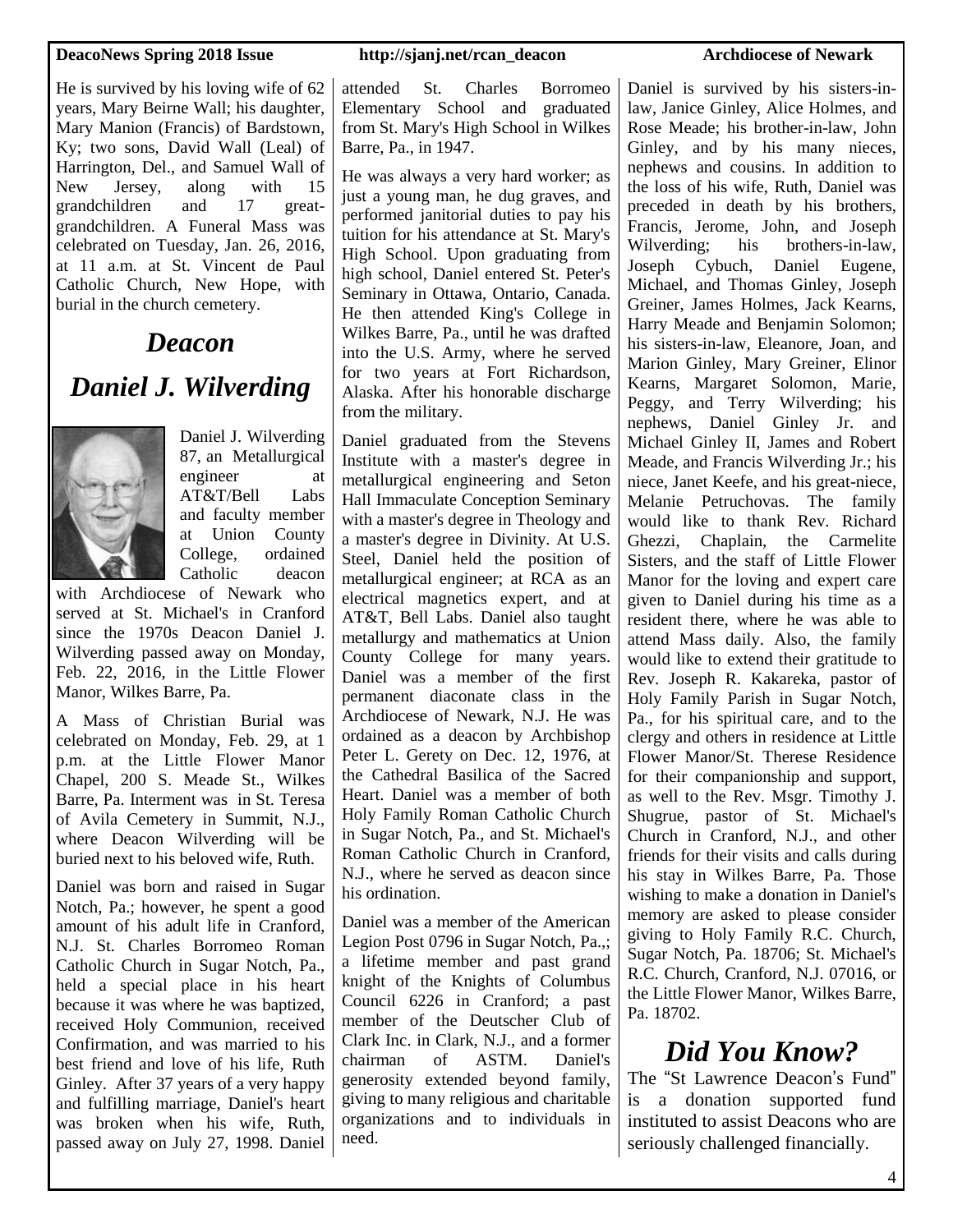He is survived by his loving wife of 62 years, Mary Beirne Wall; his daughter, Mary Manion (Francis) of Bardstown, Ky; two sons, David Wall (Leal) of Harrington, Del., and Samuel Wall of New Jersey, along with 15 grandchildren and 17 greatgrandchildren. A Funeral Mass was celebrated on Tuesday, Jan. 26, 2016, at 11 a.m. at St. Vincent de Paul Catholic Church, New Hope, with burial in the church cemetery.

# *Deacon Daniel J. Wilverding*



Daniel J. Wilverding 87, an Metallurgical engineer at AT&T/Bell Labs and faculty member at Union County College, ordained Catholic deacon

with Archdiocese of Newark who served at St. Michael's in Cranford since the 1970s Deacon Daniel J. Wilverding passed away on Monday, Feb. 22, 2016, in the Little Flower Manor, Wilkes Barre, Pa.

A Mass of Christian Burial was celebrated on Monday, Feb. 29, at 1 p.m. at the Little Flower Manor Chapel, 200 S. Meade St., Wilkes Barre, Pa. Interment was in St. Teresa of Avila Cemetery in Summit, N.J., where Deacon Wilverding will be buried next to his beloved wife, Ruth.

Daniel was born and raised in Sugar Notch, Pa.; however, he spent a good amount of his adult life in Cranford, N.J. St. Charles Borromeo Roman Catholic Church in Sugar Notch, Pa., held a special place in his heart because it was where he was baptized, received Holy Communion, received Confirmation, and was married to his best friend and love of his life, Ruth Ginley. After 37 years of a very happy and fulfilling marriage, Daniel's heart was broken when his wife, Ruth, passed away on July 27, 1998. Daniel

attended St. Charles Borromeo Elementary School and graduated from St. Mary's High School in Wilkes Barre, Pa., in 1947.

He was always a very hard worker; as just a young man, he dug graves, and performed janitorial duties to pay his tuition for his attendance at St. Mary's High School. Upon graduating from high school, Daniel entered St. Peter's Seminary in Ottawa, Ontario, Canada. He then attended King's College in Wilkes Barre, Pa., until he was drafted into the U.S. Army, where he served for two years at Fort Richardson, Alaska. After his honorable discharge from the military.

Daniel graduated from the Stevens Institute with a master's degree in metallurgical engineering and Seton Hall Immaculate Conception Seminary with a master's degree in Theology and a master's degree in Divinity. At U.S. Steel, Daniel held the position of metallurgical engineer; at RCA as an electrical magnetics expert, and at AT&T, Bell Labs. Daniel also taught metallurgy and mathematics at Union County College for many years. Daniel was a member of the first permanent diaconate class in the Archdiocese of Newark, N.J. He was ordained as a deacon by Archbishop Peter L. Gerety on Dec. 12, 1976, at the Cathedral Basilica of the Sacred Heart. Daniel was a member of both Holy Family Roman Catholic Church in Sugar Notch, Pa., and St. Michael's Roman Catholic Church in Cranford, N.J., where he served as deacon since his ordination.

Daniel was a member of the American Legion Post 0796 in Sugar Notch, Pa.,; a lifetime member and past grand knight of the Knights of Columbus Council 6226 in Cranford; a past member of the Deutscher Club of Clark Inc. in Clark, N.J., and a former chairman of ASTM. Daniel's generosity extended beyond family, giving to many religious and charitable organizations and to individuals in need.

Daniel is survived by his sisters-inlaw, Janice Ginley, Alice Holmes, and Rose Meade; his brother-in-law, John Ginley, and by his many nieces, nephews and cousins. In addition to the loss of his wife, Ruth, Daniel was preceded in death by his brothers, Francis, Jerome, John, and Joseph Wilverding; his brothers-in-law, Joseph Cybuch, Daniel Eugene, Michael, and Thomas Ginley, Joseph Greiner, James Holmes, Jack Kearns, Harry Meade and Benjamin Solomon; his sisters-in-law, Eleanore, Joan, and Marion Ginley, Mary Greiner, Elinor Kearns, Margaret Solomon, Marie, Peggy, and Terry Wilverding; his nephews, Daniel Ginley Jr. and Michael Ginley II, James and Robert Meade, and Francis Wilverding Jr.; his niece, Janet Keefe, and his great-niece, Melanie Petruchovas. The family would like to thank Rev. Richard Ghezzi, Chaplain, the Carmelite Sisters, and the staff of Little Flower Manor for the loving and expert care given to Daniel during his time as a resident there, where he was able to attend Mass daily. Also, the family would like to extend their gratitude to Rev. Joseph R. Kakareka, pastor of Holy Family Parish in Sugar Notch, Pa., for his spiritual care, and to the clergy and others in residence at Little Flower Manor/St. Therese Residence for their companionship and support, as well to the Rev. Msgr. Timothy J. Shugrue, pastor of St. Michael's Church in Cranford, N.J., and other friends for their visits and calls during his stay in Wilkes Barre, Pa. Those wishing to make a donation in Daniel's memory are asked to please consider giving to Holy Family R.C. Church, Sugar Notch, Pa. 18706; St. Michael's R.C. Church, Cranford, N.J. 07016, or the Little Flower Manor, Wilkes Barre, Pa. 18702.

# *Did You Know?*

The "St Lawrence Deacon's Fund" is a donation supported fund instituted to assist Deacons who are seriously challenged financially.